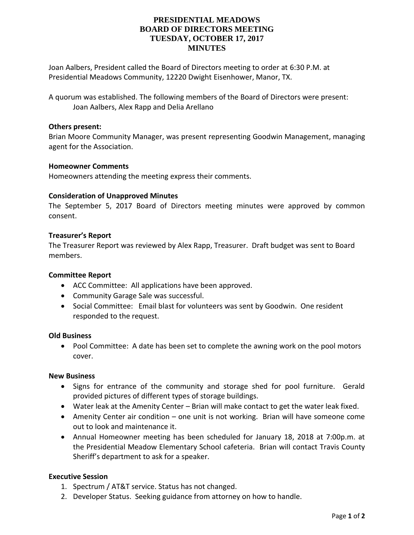# **PRESIDENTIAL MEADOWS BOARD OF DIRECTORS MEETING TUESDAY, OCTOBER 17, 2017 MINUTES**

Joan Aalbers, President called the Board of Directors meeting to order at 6:30 P.M. at Presidential Meadows Community, 12220 Dwight Eisenhower, Manor, TX.

A quorum was established. The following members of the Board of Directors were present: Joan Aalbers, Alex Rapp and Delia Arellano

## **Others present:**

Brian Moore Community Manager, was present representing Goodwin Management, managing agent for the Association.

## **Homeowner Comments**

Homeowners attending the meeting express their comments.

#### **Consideration of Unapproved Minutes**

The September 5, 2017 Board of Directors meeting minutes were approved by common consent.

## **Treasurer's Report**

The Treasurer Report was reviewed by Alex Rapp, Treasurer. Draft budget was sent to Board members.

#### **Committee Report**

- ACC Committee: All applications have been approved.
- Community Garage Sale was successful.
- Social Committee: Email blast for volunteers was sent by Goodwin. One resident responded to the request.

#### **Old Business**

• Pool Committee: A date has been set to complete the awning work on the pool motors cover.

#### **New Business**

- Signs for entrance of the community and storage shed for pool furniture. Gerald provided pictures of different types of storage buildings.
- Water leak at the Amenity Center Brian will make contact to get the water leak fixed.
- Amenity Center air condition one unit is not working. Brian will have someone come out to look and maintenance it.
- Annual Homeowner meeting has been scheduled for January 18, 2018 at 7:00p.m. at the Presidential Meadow Elementary School cafeteria. Brian will contact Travis County Sheriff's department to ask for a speaker.

### **Executive Session**

- 1. Spectrum / AT&T service. Status has not changed.
- 2. Developer Status. Seeking guidance from attorney on how to handle.